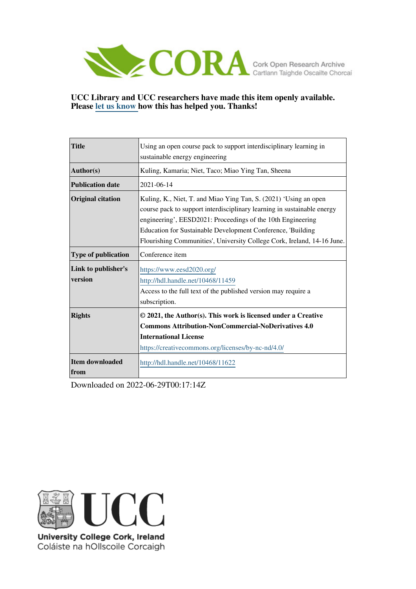

# **UCC Library and UCC researchers have made this item openly available. Please [let us know h](https://libguides.ucc.ie/openaccess/impact?suffix=11622&title=Using an open course pack to support interdisciplinary learning in sustainable energy engineering)ow this has helped you. Thanks!**

| <b>Title</b>                   | Using an open course pack to support interdisciplinary learning in<br>sustainable energy engineering                                                                                                                                                                                                                                                 |
|--------------------------------|------------------------------------------------------------------------------------------------------------------------------------------------------------------------------------------------------------------------------------------------------------------------------------------------------------------------------------------------------|
| Author(s)                      | Kuling, Kamaria; Niet, Taco; Miao Ying Tan, Sheena                                                                                                                                                                                                                                                                                                   |
| <b>Publication date</b>        | 2021-06-14                                                                                                                                                                                                                                                                                                                                           |
| <b>Original citation</b>       | Kuling, K., Niet, T. and Miao Ying Tan, S. (2021) 'Using an open<br>course pack to support interdisciplinary learning in sustainable energy<br>engineering', EESD2021: Proceedings of the 10th Engineering<br>Education for Sustainable Development Conference, 'Building<br>Flourishing Communities', University College Cork, Ireland, 14-16 June. |
| Type of publication            | Conference item                                                                                                                                                                                                                                                                                                                                      |
| Link to publisher's<br>version | https://www.eesd2020.org/<br>http://hdl.handle.net/10468/11459<br>Access to the full text of the published version may require a<br>subscription.                                                                                                                                                                                                    |
| <b>Rights</b>                  | © 2021, the Author(s). This work is licensed under a Creative<br><b>Commons Attribution-NonCommercial-NoDerivatives 4.0</b><br><b>International License</b><br>https://creativecommons.org/licenses/by-nc-nd/4.0/                                                                                                                                    |
| <b>Item downloaded</b><br>from | http://hdl.handle.net/10468/11622                                                                                                                                                                                                                                                                                                                    |

Downloaded on 2022-06-29T00:17:14Z



University College Cork, Ireland Coláiste na hOllscoile Corcaigh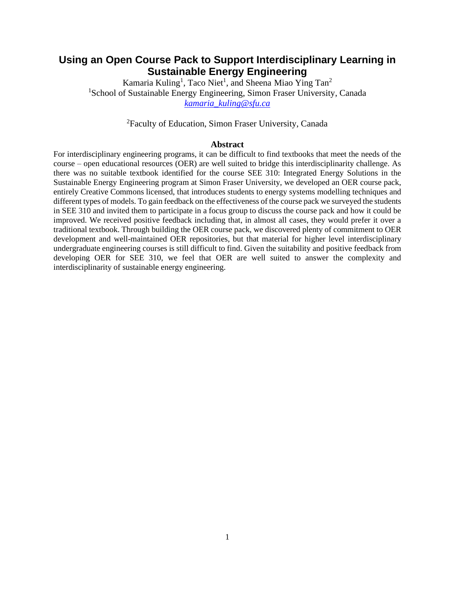# **Using an Open Course Pack to Support Interdisciplinary Learning in Sustainable Energy Engineering**

Kamaria Kuling<sup>1</sup>, Taco Niet<sup>1</sup>, and Sheena Miao Ying Tan<sup>2</sup> <sup>1</sup>School of Sustainable Energy Engineering, Simon Fraser University, Canada *[kamaria\\_kuling@sfu.ca](mailto:kamaria_kuling@sfu.ca)*

<sup>2</sup>Faculty of Education, Simon Fraser University, Canada

#### **Abstract**

For interdisciplinary engineering programs, it can be difficult to find textbooks that meet the needs of the course – open educational resources (OER) are well suited to bridge this interdisciplinarity challenge. As there was no suitable textbook identified for the course SEE 310: Integrated Energy Solutions in the Sustainable Energy Engineering program at Simon Fraser University, we developed an OER course pack, entirely Creative Commons licensed, that introduces students to energy systems modelling techniques and different types of models. To gain feedback on the effectiveness of the course pack we surveyed the students in SEE 310 and invited them to participate in a focus group to discuss the course pack and how it could be improved. We received positive feedback including that, in almost all cases, they would prefer it over a traditional textbook. Through building the OER course pack, we discovered plenty of commitment to OER development and well-maintained OER repositories, but that material for higher level interdisciplinary undergraduate engineering courses is still difficult to find. Given the suitability and positive feedback from developing OER for SEE 310, we feel that OER are well suited to answer the complexity and interdisciplinarity of sustainable energy engineering.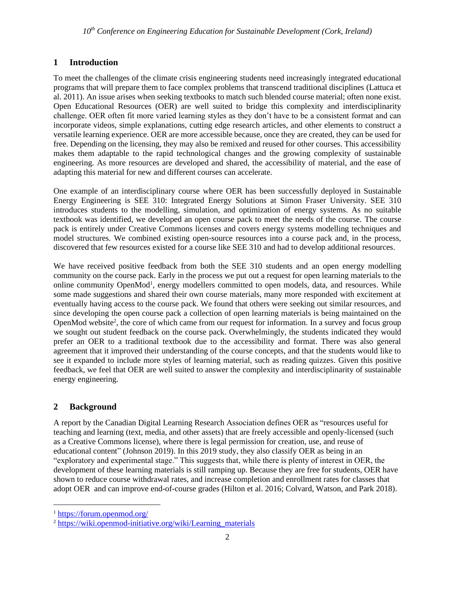## **1 Introduction**

To meet the challenges of the climate crisis engineering students need increasingly integrated educational programs that will prepare them to face complex problems that transcend traditional disciplines (Lattuca et al. 2011). An issue arises when seeking textbooks to match such blended course material; often none exist. Open Educational Resources (OER) are well suited to bridge this complexity and interdisciplinarity challenge. OER often fit more varied learning styles as they don't have to be a consistent format and can incorporate videos, simple explanations, cutting edge research articles, and other elements to construct a versatile learning experience. OER are more accessible because, once they are created, they can be used for free. Depending on the licensing, they may also be remixed and reused for other courses. This accessibility makes them adaptable to the rapid technological changes and the growing complexity of sustainable engineering. As more resources are developed and shared, the accessibility of material, and the ease of adapting this material for new and different courses can accelerate.

One example of an interdisciplinary course where OER has been successfully deployed in Sustainable Energy Engineering is SEE 310: Integrated Energy Solutions at Simon Fraser University. SEE 310 introduces students to the modelling, simulation, and optimization of energy systems. As no suitable textbook was identified, we developed an open course pack to meet the needs of the course. The course pack is entirely under Creative Commons licenses and covers energy systems modelling techniques and model structures. We combined existing open-source resources into a course pack and, in the process, discovered that few resources existed for a course like SEE 310 and had to develop additional resources.

We have received positive feedback from both the SEE 310 students and an open energy modelling community on the course pack. Early in the process we put out a request for open learning materials to the online community OpenMod<sup>1</sup>, energy modellers committed to open models, data, and resources. While some made suggestions and shared their own course materials, many more responded with excitement at eventually having access to the course pack. We found that others were seeking out similar resources, and since developing the open course pack a collection of open learning materials is being maintained on the OpenMod website<sup>2</sup>, the core of which came from our request for information. In a survey and focus group we sought out student feedback on the course pack. Overwhelmingly, the students indicated they would prefer an OER to a traditional textbook due to the accessibility and format. There was also general agreement that it improved their understanding of the course concepts, and that the students would like to see it expanded to include more styles of learning material, such as reading quizzes. Given this positive feedback, we feel that OER are well suited to answer the complexity and interdisciplinarity of sustainable energy engineering.

## **2 Background**

A report by the Canadian Digital Learning Research Association defines OER as "resources useful for teaching and learning (text, media, and other assets) that are freely accessible and openly-licensed (such as a Creative Commons license), where there is legal permission for creation, use, and reuse of educational content" (Johnson 2019). In this 2019 study, they also classify OER as being in an "exploratory and experimental stage." This suggests that, while there is plenty of interest in OER, the development of these learning materials is still ramping up. Because they are free for students, OER have shown to reduce course withdrawal rates, and increase completion and enrollment rates for classes that adopt OER and can improve end-of-course grades (Hilton et al. 2016; Colvard, Watson, and Park 2018).

<sup>1</sup> <https://forum.openmod.org/>

<sup>&</sup>lt;sup>2</sup> [https://wiki.openmod-initiative.org/wiki/Learning\\_materials](https://wiki.openmod-initiative.org/wiki/Learning_materials)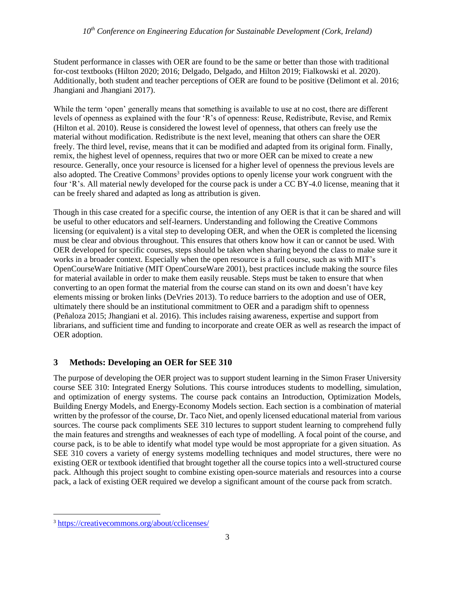#### *10th Conference on Engineering Education for Sustainable Development (Cork, Ireland)*

Student performance in classes with OER are found to be the same or better than those with traditional for-cost textbooks (Hilton 2020; 2016; Delgado, Delgado, and Hilton 2019; Fialkowski et al. 2020). Additionally, both student and teacher perceptions of OER are found to be positive (Delimont et al. 2016; Jhangiani and Jhangiani 2017).

While the term 'open' generally means that something is available to use at no cost, there are different levels of openness as explained with the four 'R's of openness: Reuse, Redistribute, Revise, and Remix (Hilton et al. 2010). Reuse is considered the lowest level of openness, that others can freely use the material without modification. Redistribute is the next level, meaning that others can share the OER freely. The third level, revise, means that it can be modified and adapted from its original form. Finally, remix, the highest level of openness, requires that two or more OER can be mixed to create a new resource. Generally, once your resource is licensed for a higher level of openness the previous levels are also adopted. The Creative Commons<sup>3</sup> provides options to openly license your work congruent with the four 'R's. All material newly developed for the course pack is under a CC BY-4.0 license, meaning that it can be freely shared and adapted as long as attribution is given.

Though in this case created for a specific course, the intention of any OER is that it can be shared and will be useful to other educators and self-learners. Understanding and following the Creative Commons licensing (or equivalent) is a vital step to developing OER, and when the OER is completed the licensing must be clear and obvious throughout. This ensures that others know how it can or cannot be used. With OER developed for specific courses, steps should be taken when sharing beyond the class to make sure it works in a broader context. Especially when the open resource is a full course, such as with MIT's OpenCourseWare Initiative (MIT OpenCourseWare 2001), best practices include making the source files for material available in order to make them easily reusable. Steps must be taken to ensure that when converting to an open format the material from the course can stand on its own and doesn't have key elements missing or broken links (DeVries 2013). To reduce barriers to the adoption and use of OER, ultimately there should be an institutional commitment to OER and a paradigm shift to openness (Peñaloza 2015; Jhangiani et al. 2016). This includes raising awareness, expertise and support from librarians, and sufficient time and funding to incorporate and create OER as well as research the impact of OER adoption.

#### **3 Methods: Developing an OER for SEE 310**

The purpose of developing the OER project was to support student learning in the Simon Fraser University course SEE 310: Integrated Energy Solutions. This course introduces students to modelling, simulation, and optimization of energy systems. The course pack contains an Introduction, Optimization Models, Building Energy Models, and Energy-Economy Models section. Each section is a combination of material written by the professor of the course, Dr. Taco Niet, and openly licensed educational material from various sources. The course pack compliments SEE 310 lectures to support student learning to comprehend fully the main features and strengths and weaknesses of each type of modelling. A focal point of the course, and course pack, is to be able to identify what model type would be most appropriate for a given situation. As SEE 310 covers a variety of energy systems modelling techniques and model structures, there were no existing OER or textbook identified that brought together all the course topics into a well-structured course pack. Although this project sought to combine existing open-source materials and resources into a course pack, a lack of existing OER required we develop a significant amount of the course pack from scratch.

<sup>3</sup> <https://creativecommons.org/about/cclicenses/>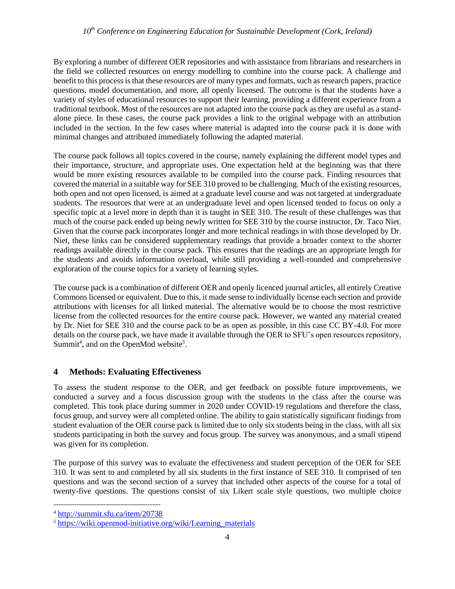#### *10th Conference on Engineering Education for Sustainable Development (Cork, Ireland)*

By exploring a number of different OER repositories and with assistance from librarians and researchers in the field we collected resources on energy modelling to combine into the course pack. A challenge and benefit to this process is that these resources are of many types and formats, such as research papers, practice questions, model documentation, and more, all openly licensed. The outcome is that the students have a variety of styles of educational resources to support their learning, providing a different experience from a traditional textbook. Most of the resources are not adapted into the course pack as they are useful as a standalone piece. In these cases, the course pack provides a link to the original webpage with an attribution included in the section. In the few cases where material is adapted into the course pack it is done with minimal changes and attributed immediately following the adapted material.

The course pack follows all topics covered in the course, namely explaining the different model types and their importance, structure, and appropriate uses. One expectation held at the beginning was that there would be more existing resources available to be compiled into the course pack. Finding resources that covered the material in a suitable way for SEE 310 proved to be challenging. Much of the existing resources, both open and not open licensed, is aimed at a graduate level course and was not targeted at undergraduate students. The resources that were at an undergraduate level and open licensed tended to focus on only a specific topic at a level more in depth than it is taught in SEE 310. The result of these challenges was that much of the course pack ended up being newly written for SEE 310 by the course instructor, Dr. Taco Niet. Given that the course pack incorporates longer and more technical readings in with those developed by Dr. Niet, these links can be considered supplementary readings that provide a broader context to the shorter readings available directly in the course pack. This ensures that the readings are an appropriate length for the students and avoids information overload, while still providing a well-rounded and comprehensive exploration of the course topics for a variety of learning styles.

The course pack is a combination of different OER and openly licenced journal articles, all entirely Creative Commons licensed or equivalent. Due to this, it made sense to individually license each section and provide attributions with licenses for all linked material. The alternative would be to choose the most restrictive license from the collected resources for the entire course pack. However, we wanted any material created by Dr. Niet for SEE 310 and the course pack to be as open as possible, in this case CC BY-4.0. For more details on the course pack, we have made it available through the OER to SFU's open resources repository, Summit<sup>4</sup>, and on the OpenMod website<sup>5</sup>.

## **4 Methods: Evaluating Effectiveness**

To assess the student response to the OER, and get feedback on possible future improvements, we conducted a survey and a focus discussion group with the students in the class after the course was completed. This took place during summer in 2020 under COVID-19 regulations and therefore the class, focus group, and survey were all completed online. The ability to gain statistically significant findings from student evaluation of the OER course pack is limited due to only six students being in the class, with all six students participating in both the survey and focus group. The survey was anonymous, and a small stipend was given for its completion.

The purpose of this survey was to evaluate the effectiveness and student perception of the OER for SEE 310. It was sent to and completed by all six students in the first instance of SEE 310. It comprised of ten questions and was the second section of a survey that included other aspects of the course for a total of twenty-five questions. The questions consist of six Likert scale style questions, two multiple choice

<sup>4</sup> <http://summit.sfu.ca/item/20738>

<sup>&</sup>lt;sup>5</sup> [https://wiki.openmod-initiative.org/wiki/Learning\\_materials](https://wiki.openmod-initiative.org/wiki/Learning_materials)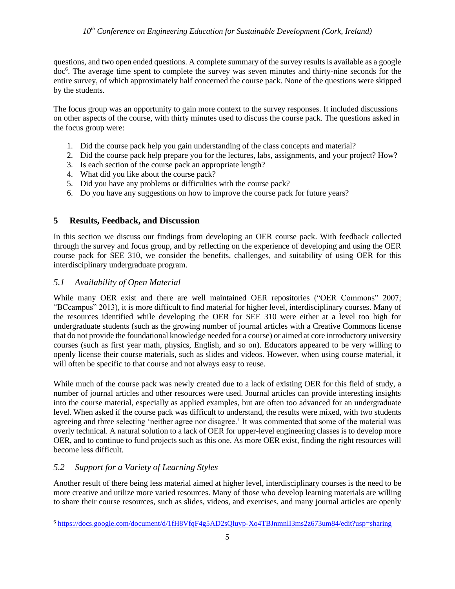questions, and two open ended questions. A complete summary of the survey results is available as a google doc<sup>6</sup> . The average time spent to complete the survey was seven minutes and thirty-nine seconds for the entire survey, of which approximately half concerned the course pack. None of the questions were skipped by the students.

The focus group was an opportunity to gain more context to the survey responses. It included discussions on other aspects of the course, with thirty minutes used to discuss the course pack. The questions asked in the focus group were:

- 1. Did the course pack help you gain understanding of the class concepts and material?
- 2. Did the course pack help prepare you for the lectures, labs, assignments, and your project? How?
- 3. Is each section of the course pack an appropriate length?
- 4. What did you like about the course pack?
- 5. Did you have any problems or difficulties with the course pack?
- 6. Do you have any suggestions on how to improve the course pack for future years?

## **5 Results, Feedback, and Discussion**

In this section we discuss our findings from developing an OER course pack. With feedback collected through the survey and focus group, and by reflecting on the experience of developing and using the OER course pack for SEE 310, we consider the benefits, challenges, and suitability of using OER for this interdisciplinary undergraduate program.

## *5.1 Availability of Open Material*

While many OER exist and there are well maintained OER repositories ("OER Commons" 2007; "BCcampus" 2013), it is more difficult to find material for higher level, interdisciplinary courses. Many of the resources identified while developing the OER for SEE 310 were either at a level too high for undergraduate students (such as the growing number of journal articles with a Creative Commons license that do not provide the foundational knowledge needed for a course) or aimed at core introductory university courses (such as first year math, physics, English, and so on). Educators appeared to be very willing to openly license their course materials, such as slides and videos. However, when using course material, it will often be specific to that course and not always easy to reuse.

While much of the course pack was newly created due to a lack of existing OER for this field of study, a number of journal articles and other resources were used. Journal articles can provide interesting insights into the course material, especially as applied examples, but are often too advanced for an undergraduate level. When asked if the course pack was difficult to understand, the results were mixed, with two students agreeing and three selecting 'neither agree nor disagree.' It was commented that some of the material was overly technical. A natural solution to a lack of OER for upper-level engineering classes is to develop more OER, and to continue to fund projects such as this one. As more OER exist, finding the right resources will become less difficult.

# *5.2 Support for a Variety of Learning Styles*

Another result of there being less material aimed at higher level, interdisciplinary courses is the need to be more creative and utilize more varied resources. Many of those who develop learning materials are willing to share their course resources, such as slides, videos, and exercises, and many journal articles are openly

<sup>6</sup> <https://docs.google.com/document/d/1fH8VfqF4g5AD2sQluyp-Xo4TBJnmnlI3ms2z673um84/edit?usp=sharing>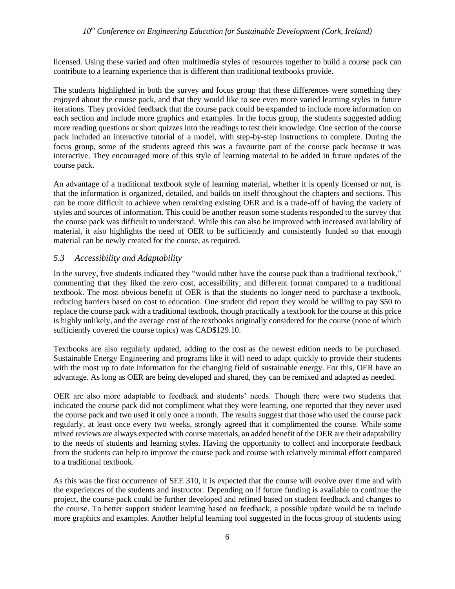#### *10th Conference on Engineering Education for Sustainable Development (Cork, Ireland)*

licensed. Using these varied and often multimedia styles of resources together to build a course pack can contribute to a learning experience that is different than traditional textbooks provide.

The students highlighted in both the survey and focus group that these differences were something they enjoyed about the course pack, and that they would like to see even more varied learning styles in future iterations. They provided feedback that the course pack could be expanded to include more information on each section and include more graphics and examples. In the focus group, the students suggested adding more reading questions or short quizzes into the readings to test their knowledge. One section of the course pack included an interactive tutorial of a model, with step-by-step instructions to complete. During the focus group, some of the students agreed this was a favourite part of the course pack because it was interactive. They encouraged more of this style of learning material to be added in future updates of the course pack.

An advantage of a traditional textbook style of learning material, whether it is openly licensed or not, is that the information is organized, detailed, and builds on itself throughout the chapters and sections. This can be more difficult to achieve when remixing existing OER and is a trade-off of having the variety of styles and sources of information. This could be another reason some students responded to the survey that the course pack was difficult to understand. While this can also be improved with increased availability of material, it also highlights the need of OER to be sufficiently and consistently funded so that enough material can be newly created for the course, as required.

#### *5.3 Accessibility and Adaptability*

In the survey, five students indicated they "would rather have the course pack than a traditional textbook," commenting that they liked the zero cost, accessibility, and different format compared to a traditional textbook. The most obvious benefit of OER is that the students no longer need to purchase a textbook, reducing barriers based on cost to education. One student did report they would be willing to pay \$50 to replace the course pack with a traditional textbook, though practically a textbook for the course at this price is highly unlikely, and the average cost of the textbooks originally considered for the course (none of which sufficiently covered the course topics) was CAD\$129.10.

Textbooks are also regularly updated, adding to the cost as the newest edition needs to be purchased. Sustainable Energy Engineering and programs like it will need to adapt quickly to provide their students with the most up to date information for the changing field of sustainable energy. For this, OER have an advantage. As long as OER are being developed and shared, they can be remixed and adapted as needed.

OER are also more adaptable to feedback and students' needs. Though there were two students that indicated the course pack did not compliment what they were learning, one reported that they never used the course pack and two used it only once a month. The results suggest that those who used the course pack regularly, at least once every two weeks, strongly agreed that it complimented the course. While some mixed reviews are always expected with course materials, an added benefit of the OER are their adaptability to the needs of students and learning styles. Having the opportunity to collect and incorporate feedback from the students can help to improve the course pack and course with relatively minimal effort compared to a traditional textbook.

As this was the first occurrence of SEE 310, it is expected that the course will evolve over time and with the experiences of the students and instructor. Depending on if future funding is available to continue the project, the course pack could be further developed and refined based on student feedback and changes to the course. To better support student learning based on feedback, a possible update would be to include more graphics and examples. Another helpful learning tool suggested in the focus group of students using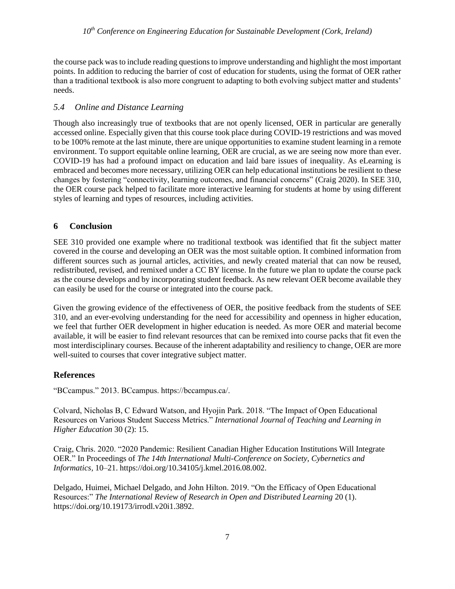the course pack was to include reading questions to improve understanding and highlight the most important points. In addition to reducing the barrier of cost of education for students, using the format of OER rather than a traditional textbook is also more congruent to adapting to both evolving subject matter and students' needs.

# *5.4 Online and Distance Learning*

Though also increasingly true of textbooks that are not openly licensed, OER in particular are generally accessed online. Especially given that this course took place during COVID-19 restrictions and was moved to be 100% remote at the last minute, there are unique opportunities to examine student learning in a remote environment. To support equitable online learning, OER are crucial, as we are seeing now more than ever. COVID-19 has had a profound impact on education and laid bare issues of inequality. As eLearning is embraced and becomes more necessary, utilizing OER can help educational institutions be resilient to these changes by fostering "connectivity, learning outcomes, and financial concerns" (Craig 2020). In SEE 310, the OER course pack helped to facilitate more interactive learning for students at home by using different styles of learning and types of resources, including activities.

# **6 Conclusion**

SEE 310 provided one example where no traditional textbook was identified that fit the subject matter covered in the course and developing an OER was the most suitable option. It combined information from different sources such as journal articles, activities, and newly created material that can now be reused, redistributed, revised, and remixed under a CC BY license. In the future we plan to update the course pack as the course develops and by incorporating student feedback. As new relevant OER become available they can easily be used for the course or integrated into the course pack.

Given the growing evidence of the effectiveness of OER, the positive feedback from the students of SEE 310, and an ever-evolving understanding for the need for accessibility and openness in higher education, we feel that further OER development in higher education is needed. As more OER and material become available, it will be easier to find relevant resources that can be remixed into course packs that fit even the most interdisciplinary courses. Because of the inherent adaptability and resiliency to change, OER are more well-suited to courses that cover integrative subject matter.

## **References**

"BCcampus." 2013. BCcampus. https://bccampus.ca/.

Colvard, Nicholas B, C Edward Watson, and Hyojin Park. 2018. "The Impact of Open Educational Resources on Various Student Success Metrics." *International Journal of Teaching and Learning in Higher Education* 30 (2): 15.

Craig, Chris. 2020. "2020 Pandemic: Resilient Canadian Higher Education Institutions Will Integrate OER." In Proceedings of *The 14th International Multi-Conference on Society, Cybernetics and Informatics,* 10–21. https://doi.org/10.34105/j.kmel.2016.08.002.

Delgado, Huimei, Michael Delgado, and John Hilton. 2019. "On the Efficacy of Open Educational Resources:" *The International Review of Research in Open and Distributed Learning* 20 (1). https://doi.org/10.19173/irrodl.v20i1.3892.